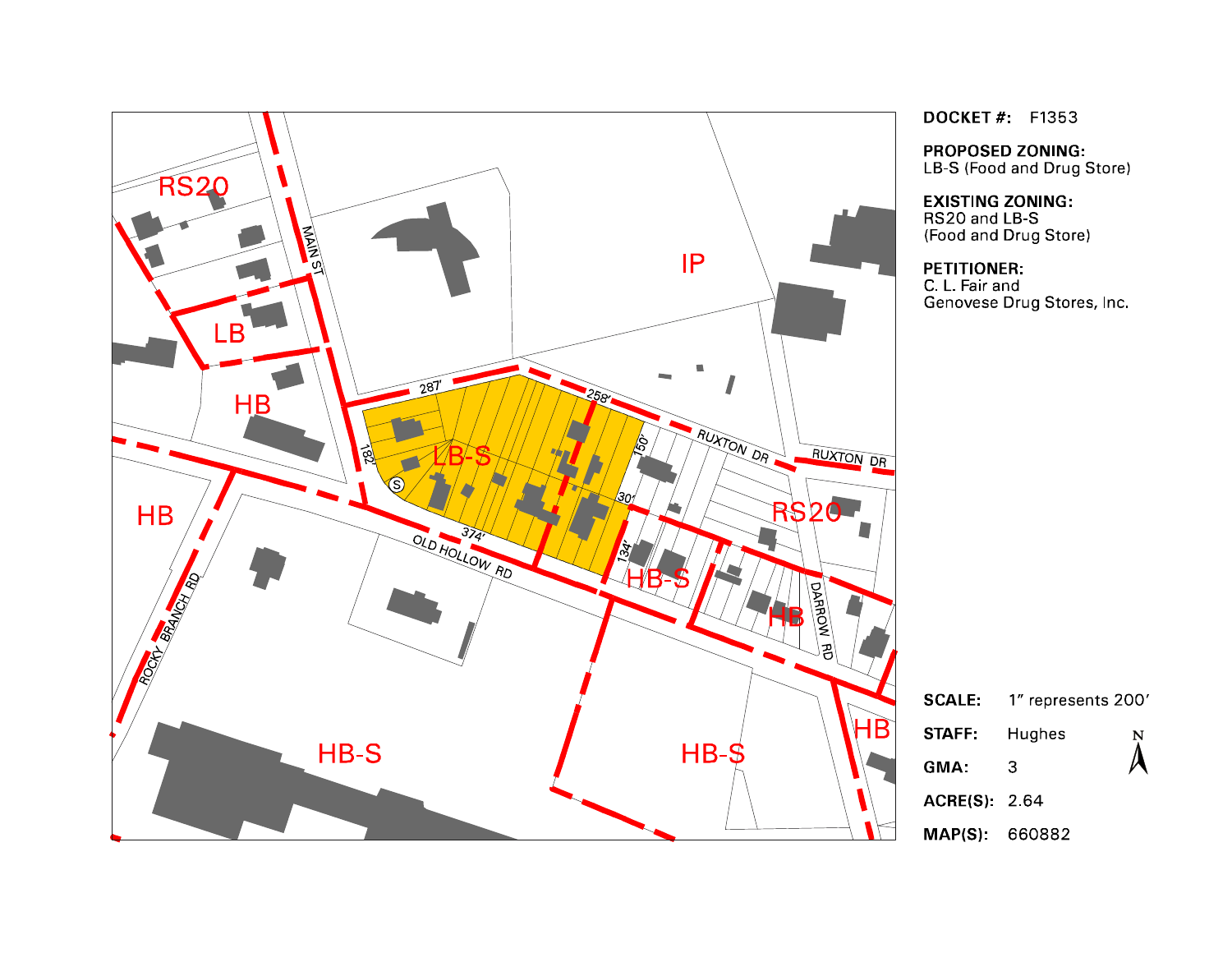

**DOCKET#** F1353

**PROPOSED ZONING:** LB-S (Food and Drug Store)

**EXISTING ZONING:** RS20 and LB-S (Food and Drug Store)

# **PETITIONER:**

C. L. Fair and<br>G. L. Fair and<br>Genovese Drug Stores, Inc.

| <b>SCALE:</b>       | 1" represents 200' |                  |
|---------------------|--------------------|------------------|
| STAFF:              | Hughes             | $\sum_{i=1}^{N}$ |
| GMA:                | З                  |                  |
| <b>ACRE(S) 2.64</b> |                    |                  |
| MAP(S): 660882      |                    |                  |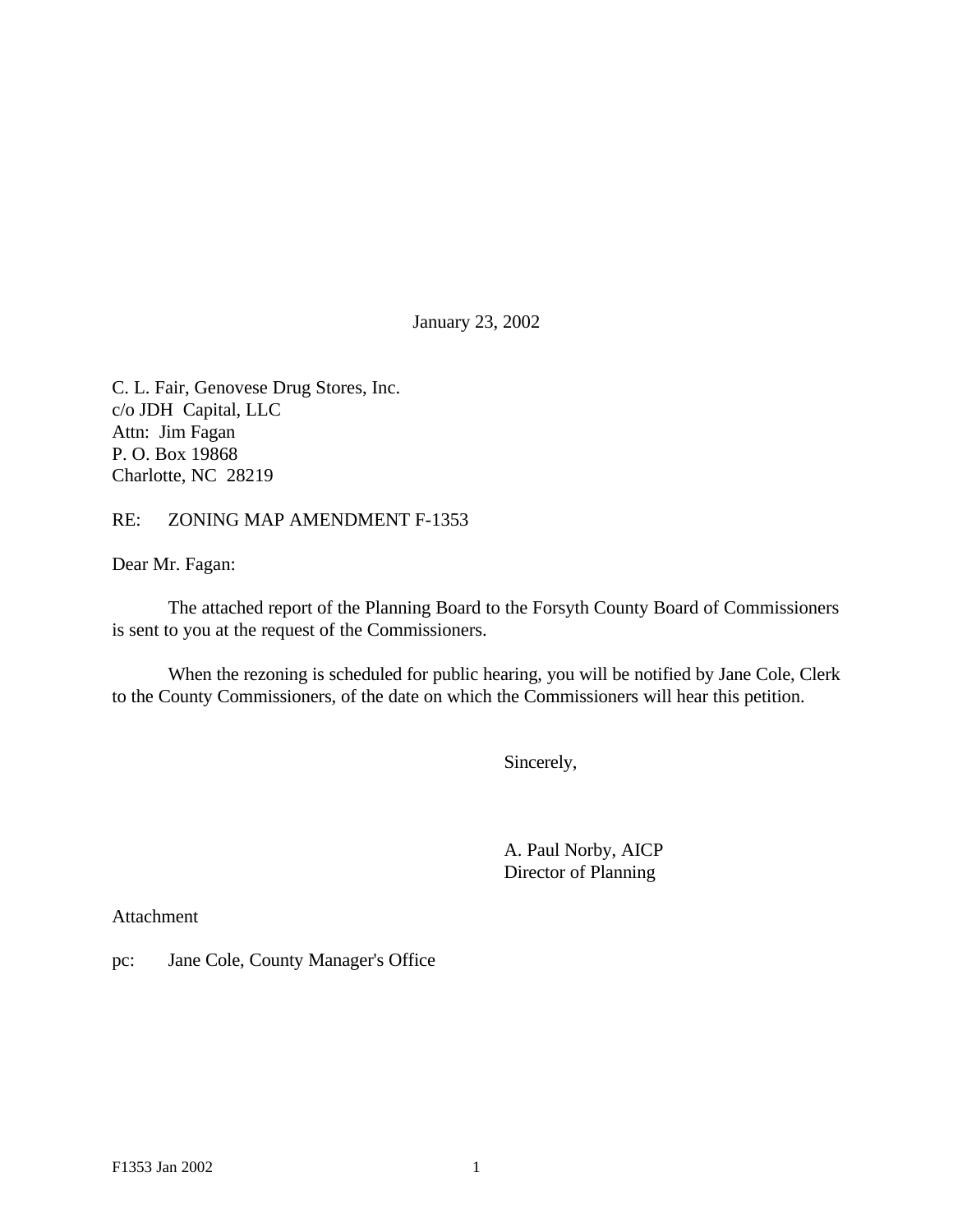January 23, 2002

C. L. Fair, Genovese Drug Stores, Inc. c/o JDH Capital, LLC Attn: Jim Fagan P. O. Box 19868 Charlotte, NC 28219

#### RE: ZONING MAP AMENDMENT F-1353

Dear Mr. Fagan:

The attached report of the Planning Board to the Forsyth County Board of Commissioners is sent to you at the request of the Commissioners.

When the rezoning is scheduled for public hearing, you will be notified by Jane Cole, Clerk to the County Commissioners, of the date on which the Commissioners will hear this petition.

Sincerely,

A. Paul Norby, AICP Director of Planning

Attachment

pc: Jane Cole, County Manager's Office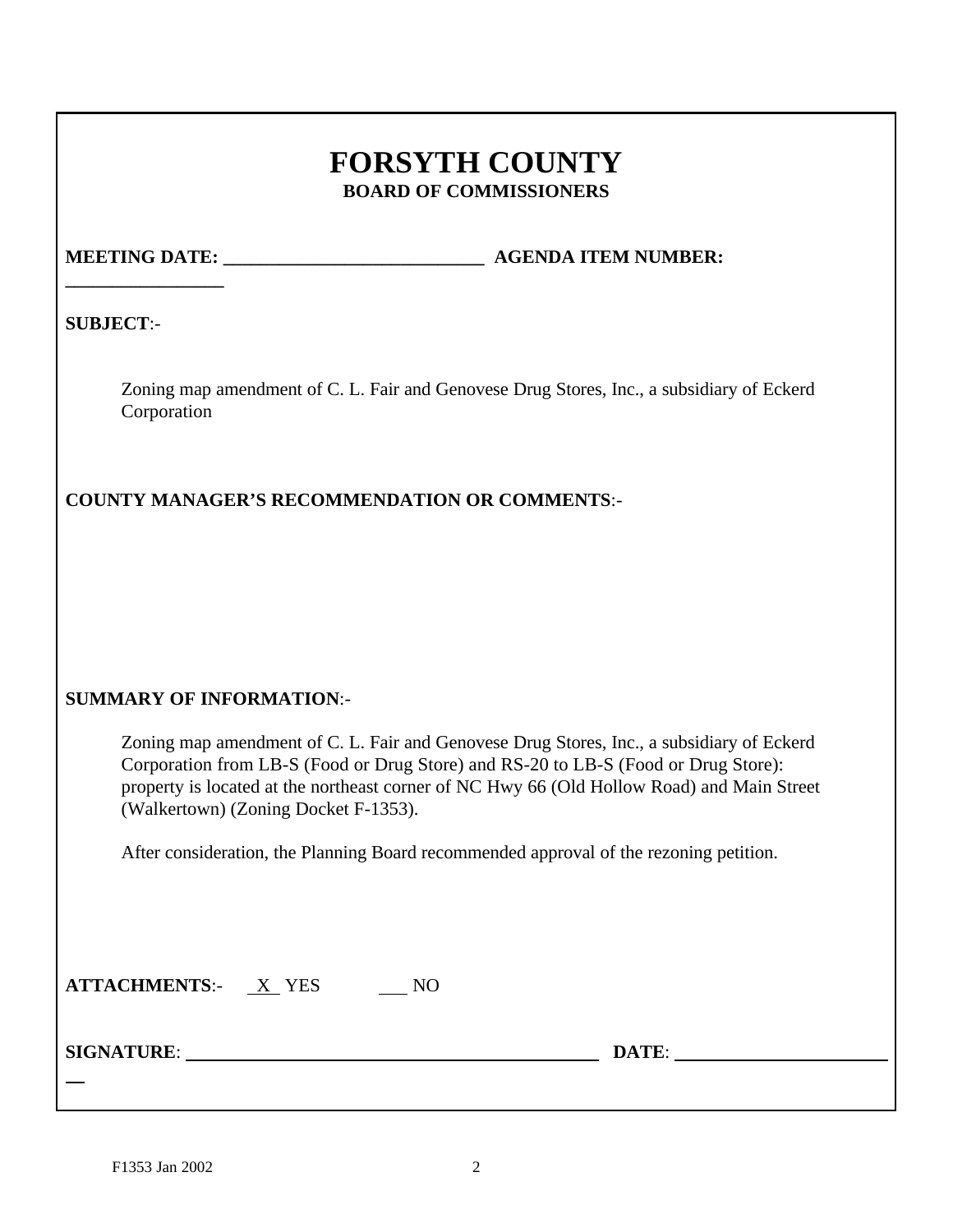# **FORSYTH COUNTY BOARD OF COMMISSIONERS**

**\_\_\_\_\_\_\_\_\_\_\_\_\_\_\_\_\_**

**MEETING DATE:**  $\qquad \qquad$  **AGENDA ITEM NUMBER:** 

**SUBJECT**:-

Zoning map amendment of C. L. Fair and Genovese Drug Stores, Inc., a subsidiary of Eckerd Corporation

**COUNTY MANAGER'S RECOMMENDATION OR COMMENTS**:-

# **SUMMARY OF INFORMATION**:-

Zoning map amendment of C. L. Fair and Genovese Drug Stores, Inc., a subsidiary of Eckerd Corporation from LB-S (Food or Drug Store) and RS-20 to LB-S (Food or Drug Store): property is located at the northeast corner of NC Hwy 66 (Old Hollow Road) and Main Street (Walkertown) (Zoning Docket F-1353).

After consideration, the Planning Board recommended approval of the rezoning petition.

| <b>ATTACHMENTS:-</b> | X YES |  |
|----------------------|-------|--|
|                      |       |  |

**SIGNATURE**: **DATE**:

 $\overline{a}$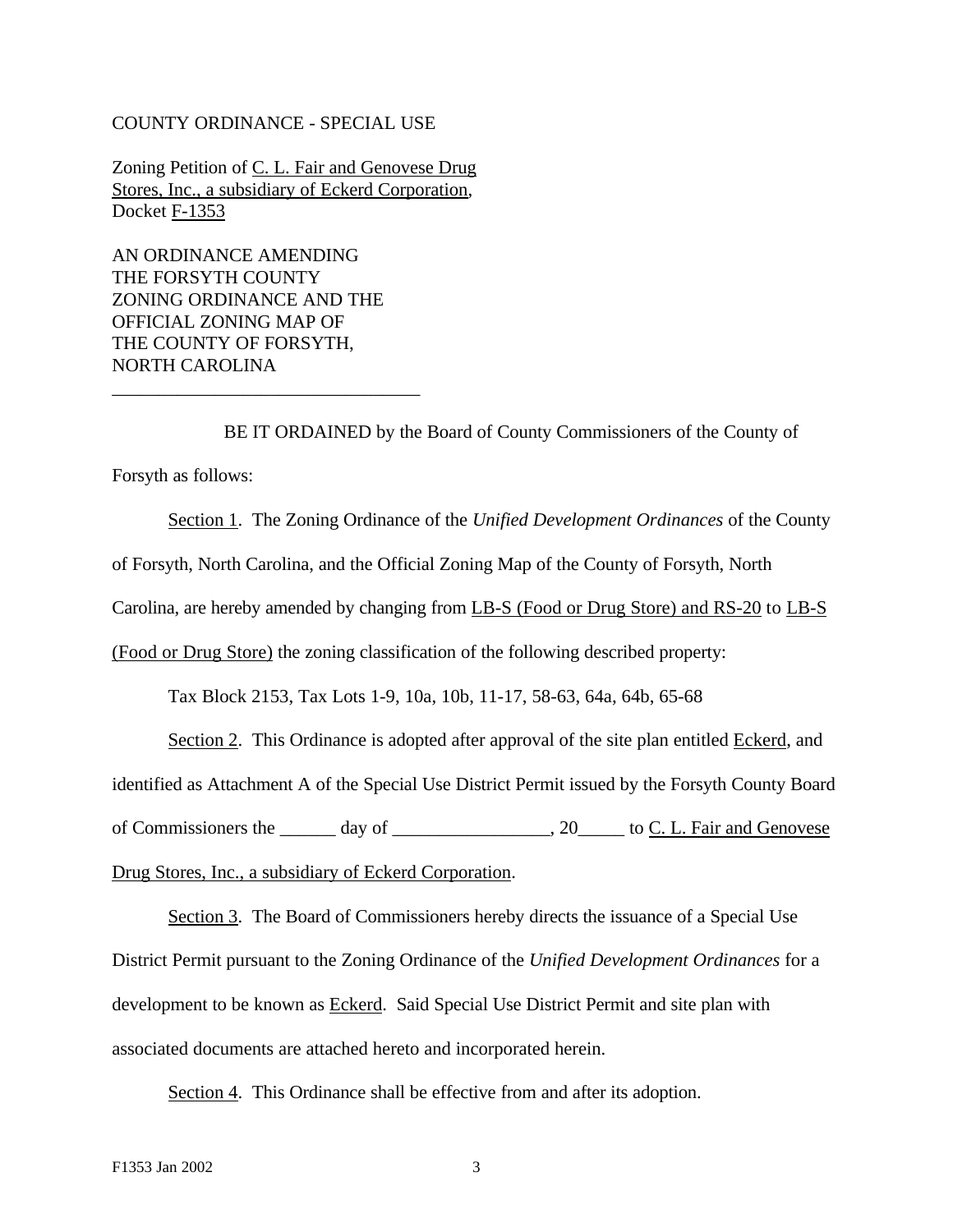#### COUNTY ORDINANCE - SPECIAL USE

Zoning Petition of C. L. Fair and Genovese Drug Stores, Inc., a subsidiary of Eckerd Corporation, Docket F-1353

AN ORDINANCE AMENDING THE FORSYTH COUNTY ZONING ORDINANCE AND THE OFFICIAL ZONING MAP OF THE COUNTY OF FORSYTH, NORTH CAROLINA

\_\_\_\_\_\_\_\_\_\_\_\_\_\_\_\_\_\_\_\_\_\_\_\_\_\_\_\_\_\_\_\_\_

BE IT ORDAINED by the Board of County Commissioners of the County of Forsyth as follows:

Section 1. The Zoning Ordinance of the *Unified Development Ordinances* of the County of Forsyth, North Carolina, and the Official Zoning Map of the County of Forsyth, North Carolina, are hereby amended by changing from LB-S (Food or Drug Store) and RS-20 to LB-S

(Food or Drug Store) the zoning classification of the following described property:

Tax Block 2153, Tax Lots 1-9, 10a, 10b, 11-17, 58-63, 64a, 64b, 65-68

Section 2. This Ordinance is adopted after approval of the site plan entitled Eckerd, and

identified as Attachment A of the Special Use District Permit issued by the Forsyth County Board

of Commissioners the \_\_\_\_\_\_ day of \_\_\_\_\_\_\_\_\_\_\_\_\_\_\_\_, 20\_\_\_\_\_ to C. L. Fair and Genovese

Drug Stores, Inc., a subsidiary of Eckerd Corporation.

Section 3. The Board of Commissioners hereby directs the issuance of a Special Use District Permit pursuant to the Zoning Ordinance of the *Unified Development Ordinances* for a development to be known as Eckerd. Said Special Use District Permit and site plan with associated documents are attached hereto and incorporated herein.

Section 4. This Ordinance shall be effective from and after its adoption.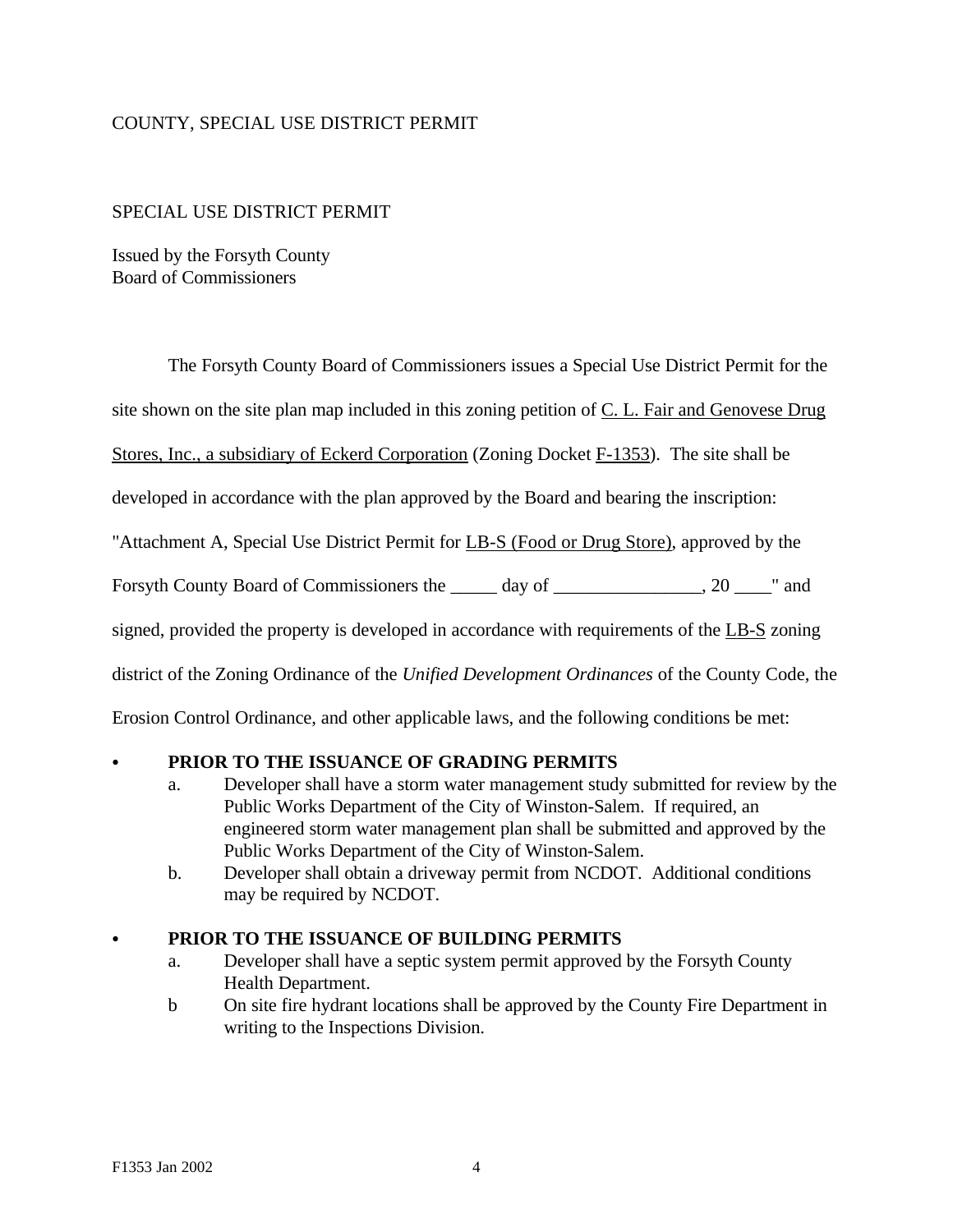# COUNTY, SPECIAL USE DISTRICT PERMIT

#### SPECIAL USE DISTRICT PERMIT

Issued by the Forsyth County Board of Commissioners

The Forsyth County Board of Commissioners issues a Special Use District Permit for the

site shown on the site plan map included in this zoning petition of C. L. Fair and Genovese Drug

Stores, Inc., a subsidiary of Eckerd Corporation (Zoning Docket F-1353). The site shall be

developed in accordance with the plan approved by the Board and bearing the inscription:

"Attachment A, Special Use District Permit for LB-S (Food or Drug Store), approved by the

Forsyth County Board of Commissioners the \_\_\_\_\_ day of \_\_\_\_\_\_\_\_\_\_\_\_\_\_, 20 \_\_\_\_" and

signed, provided the property is developed in accordance with requirements of the LB-S zoning

district of the Zoning Ordinance of the *Unified Development Ordinances* of the County Code, the

Erosion Control Ordinance, and other applicable laws, and the following conditions be met:

#### PRIOR TO THE ISSUANCE OF GRADING PERMITS

- a. Developer shall have a storm water management study submitted for review by the Public Works Department of the City of Winston-Salem. If required, an engineered storm water management plan shall be submitted and approved by the Public Works Department of the City of Winston-Salem.
- b. Developer shall obtain a driveway permit from NCDOT. Additional conditions may be required by NCDOT.

#### C **PRIOR TO THE ISSUANCE OF BUILDING PERMITS**

- a. Developer shall have a septic system permit approved by the Forsyth County Health Department.
- b On site fire hydrant locations shall be approved by the County Fire Department in writing to the Inspections Division.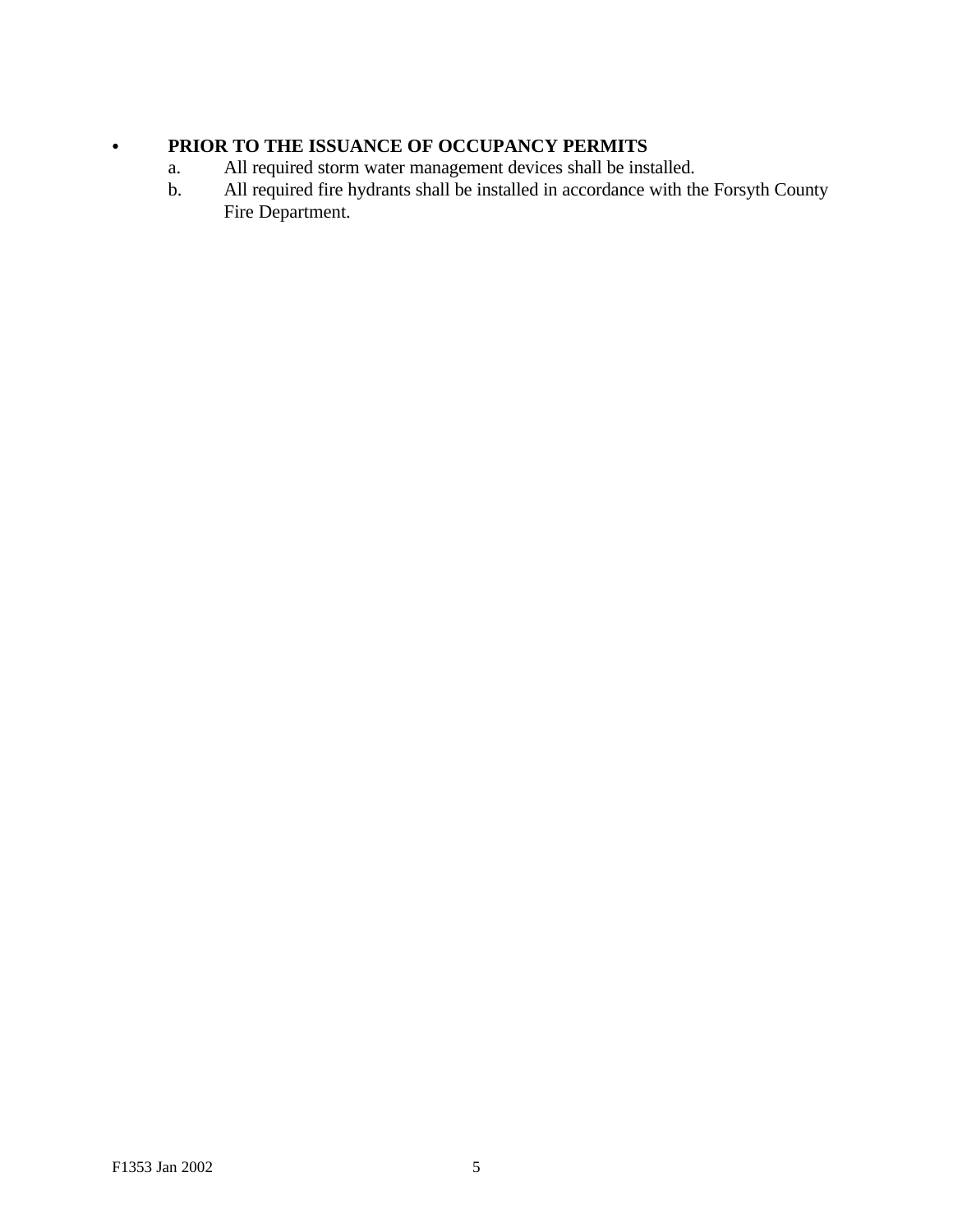# **• PRIOR TO THE ISSUANCE OF OCCUPANCY PERMITS**

- a. All required storm water management devices shall be installed.<br>b. All required fire hydrants shall be installed in accordance with the
- All required fire hydrants shall be installed in accordance with the Forsyth County Fire Department.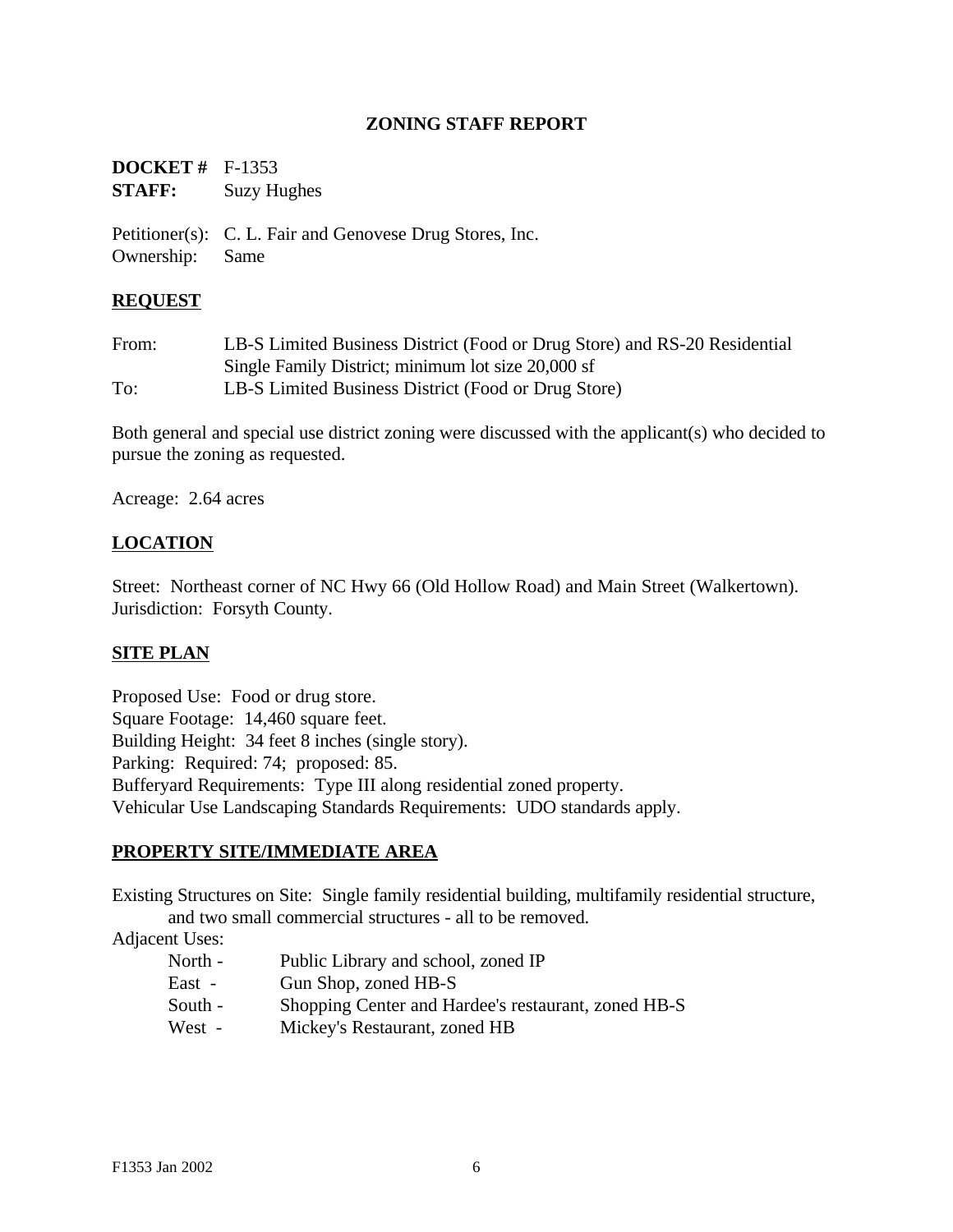# **ZONING STAFF REPORT**

| <b>DOCKET</b> # $F-1353$ |                    |
|--------------------------|--------------------|
| <b>STAFF:</b>            | <b>Suzy Hughes</b> |

Petitioner(s): C. L. Fair and Genovese Drug Stores, Inc. Ownership: Same

#### **REQUEST**

| From: | LB-S Limited Business District (Food or Drug Store) and RS-20 Residential |
|-------|---------------------------------------------------------------------------|
|       | Single Family District; minimum lot size 20,000 sf                        |
| To:   | LB-S Limited Business District (Food or Drug Store)                       |

Both general and special use district zoning were discussed with the applicant(s) who decided to pursue the zoning as requested.

Acreage: 2.64 acres

# **LOCATION**

Street: Northeast corner of NC Hwy 66 (Old Hollow Road) and Main Street (Walkertown). Jurisdiction: Forsyth County.

#### **SITE PLAN**

Proposed Use: Food or drug store. Square Footage: 14,460 square feet. Building Height: 34 feet 8 inches (single story). Parking: Required: 74; proposed: 85. Bufferyard Requirements: Type III along residential zoned property. Vehicular Use Landscaping Standards Requirements: UDO standards apply.

#### **PROPERTY SITE/IMMEDIATE AREA**

Existing Structures on Site: Single family residential building, multifamily residential structure, and two small commercial structures - all to be removed.

Adjacent Uses:

- North Public Library and school, zoned IP
- East Gun Shop, zoned HB-S
- South Shopping Center and Hardee's restaurant, zoned HB-S
- West Mickey's Restaurant, zoned HB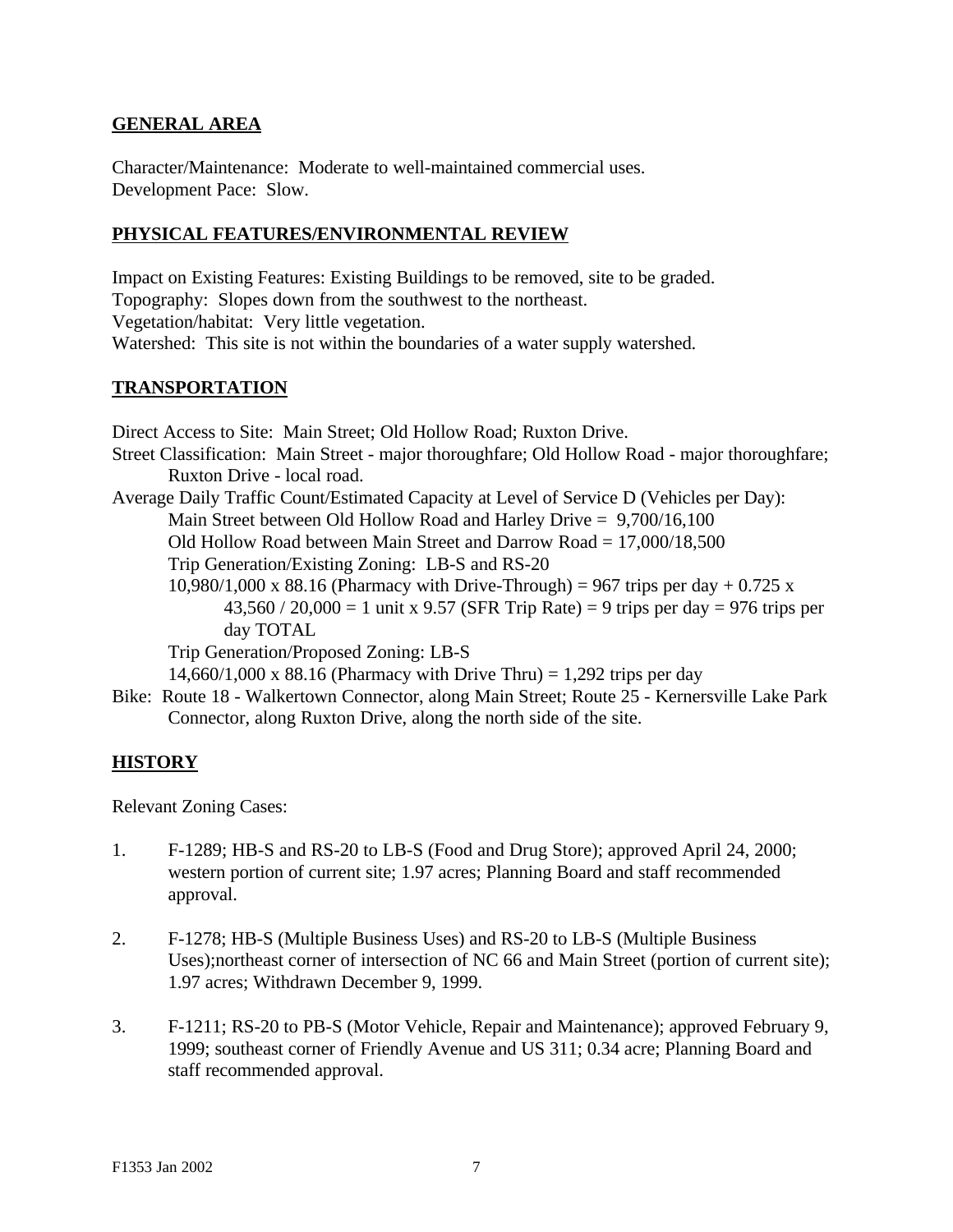### **GENERAL AREA**

Character/Maintenance: Moderate to well-maintained commercial uses. Development Pace: Slow.

# **PHYSICAL FEATURES/ENVIRONMENTAL REVIEW**

Impact on Existing Features: Existing Buildings to be removed, site to be graded. Topography: Slopes down from the southwest to the northeast. Vegetation/habitat: Very little vegetation. Watershed: This site is not within the boundaries of a water supply watershed.

## **TRANSPORTATION**

Direct Access to Site: Main Street; Old Hollow Road; Ruxton Drive. Street Classification: Main Street - major thoroughfare; Old Hollow Road - major thoroughfare; Ruxton Drive - local road. Average Daily Traffic Count/Estimated Capacity at Level of Service D (Vehicles per Day): Main Street between Old Hollow Road and Harley Drive = 9,700/16,100 Old Hollow Road between Main Street and Darrow Road = 17,000/18,500 Trip Generation/Existing Zoning: LB-S and RS-20 10,980/1,000 x 88.16 (Pharmacy with Drive-Through) = 967 trips per day  $+ 0.725$  x  $43,560 / 20,000 = 1$  unit x 9.57 (SFR Trip Rate) = 9 trips per day = 976 trips per day TOTAL Trip Generation/Proposed Zoning: LB-S 14,660/1,000 x 88.16 (Pharmacy with Drive Thru) = 1,292 trips per day Bike: Route 18 - Walkertown Connector, along Main Street; Route 25 - Kernersville Lake Park

Connector, along Ruxton Drive, along the north side of the site.

# **HISTORY**

Relevant Zoning Cases:

- 1. F-1289; HB-S and RS-20 to LB-S (Food and Drug Store); approved April 24, 2000; western portion of current site; 1.97 acres; Planning Board and staff recommended approval.
- 2. F-1278; HB-S (Multiple Business Uses) and RS-20 to LB-S (Multiple Business Uses);northeast corner of intersection of NC 66 and Main Street (portion of current site); 1.97 acres; Withdrawn December 9, 1999.
- 3. F-1211; RS-20 to PB-S (Motor Vehicle, Repair and Maintenance); approved February 9, 1999; southeast corner of Friendly Avenue and US 311; 0.34 acre; Planning Board and staff recommended approval.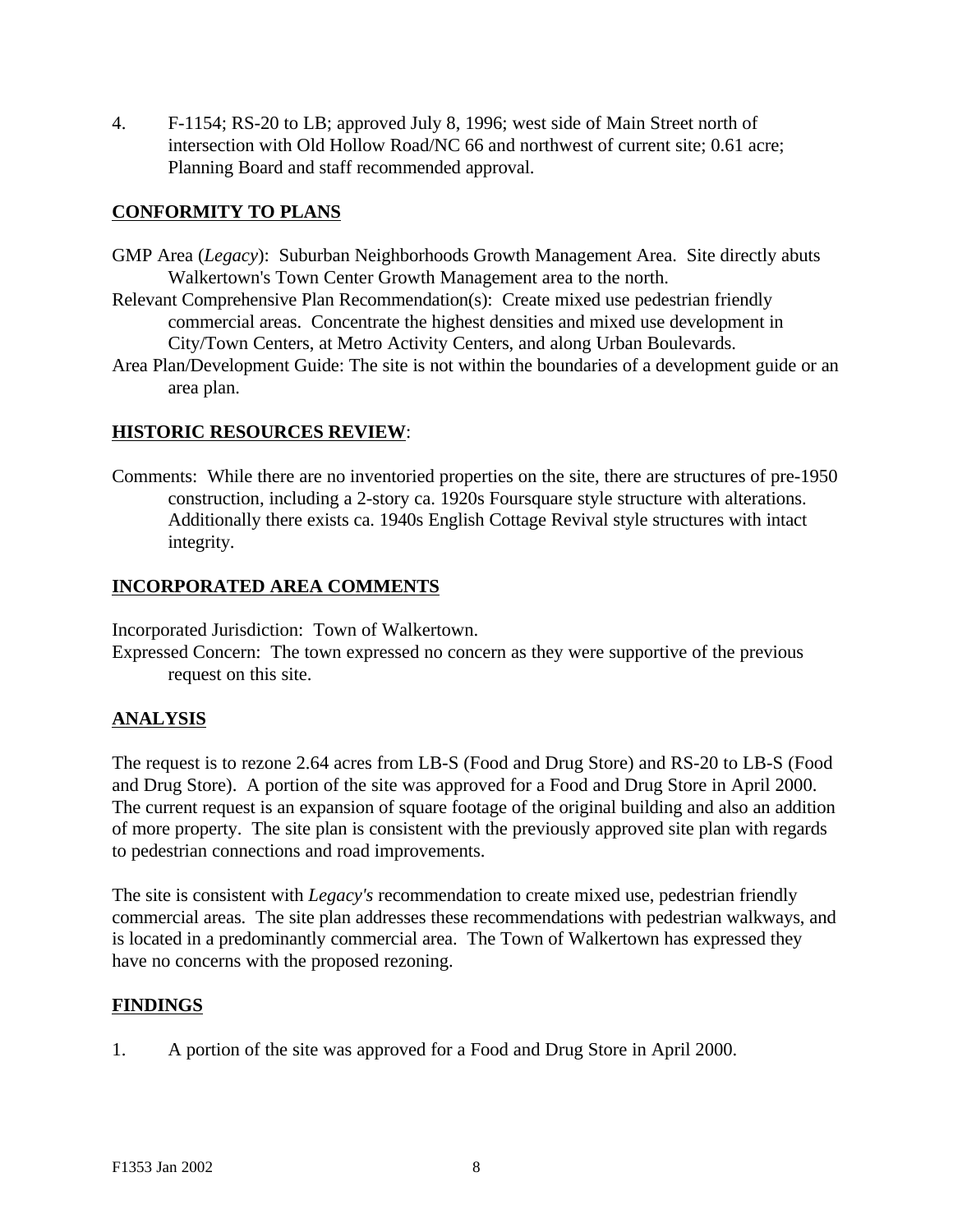4. F-1154; RS-20 to LB; approved July 8, 1996; west side of Main Street north of intersection with Old Hollow Road/NC 66 and northwest of current site; 0.61 acre; Planning Board and staff recommended approval.

## **CONFORMITY TO PLANS**

- GMP Area (*Legacy*): Suburban Neighborhoods Growth Management Area. Site directly abuts Walkertown's Town Center Growth Management area to the north.
- Relevant Comprehensive Plan Recommendation(s): Create mixed use pedestrian friendly commercial areas. Concentrate the highest densities and mixed use development in City/Town Centers, at Metro Activity Centers, and along Urban Boulevards.
- Area Plan/Development Guide: The site is not within the boundaries of a development guide or an area plan.

#### **HISTORIC RESOURCES REVIEW**:

Comments: While there are no inventoried properties on the site, there are structures of pre-1950 construction, including a 2-story ca. 1920s Foursquare style structure with alterations. Additionally there exists ca. 1940s English Cottage Revival style structures with intact integrity.

# **INCORPORATED AREA COMMENTS**

Incorporated Jurisdiction: Town of Walkertown.

Expressed Concern: The town expressed no concern as they were supportive of the previous request on this site.

# **ANALYSIS**

The request is to rezone 2.64 acres from LB-S (Food and Drug Store) and RS-20 to LB-S (Food and Drug Store). A portion of the site was approved for a Food and Drug Store in April 2000. The current request is an expansion of square footage of the original building and also an addition of more property. The site plan is consistent with the previously approved site plan with regards to pedestrian connections and road improvements.

The site is consistent with *Legacy's* recommendation to create mixed use, pedestrian friendly commercial areas. The site plan addresses these recommendations with pedestrian walkways, and is located in a predominantly commercial area. The Town of Walkertown has expressed they have no concerns with the proposed rezoning.

#### **FINDINGS**

1. A portion of the site was approved for a Food and Drug Store in April 2000.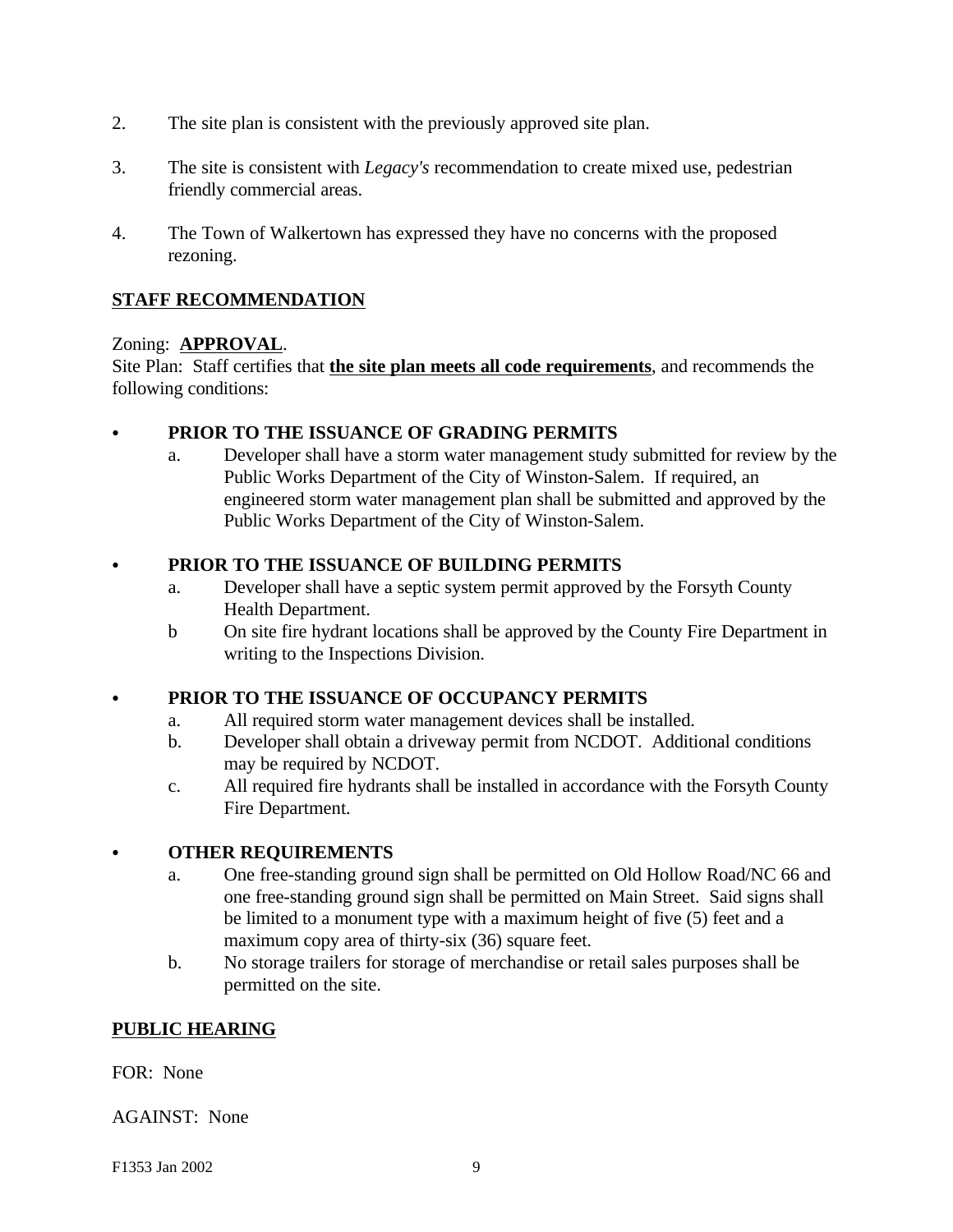- 2. The site plan is consistent with the previously approved site plan.
- 3. The site is consistent with *Legacy's* recommendation to create mixed use, pedestrian friendly commercial areas.
- 4. The Town of Walkertown has expressed they have no concerns with the proposed rezoning.

# **STAFF RECOMMENDATION**

## Zoning: **APPROVAL**.

Site Plan: Staff certifies that **the site plan meets all code requirements**, and recommends the following conditions:

# PRIOR TO THE ISSUANCE OF GRADING PERMITS

a. Developer shall have a storm water management study submitted for review by the Public Works Department of the City of Winston-Salem. If required, an engineered storm water management plan shall be submitted and approved by the Public Works Department of the City of Winston-Salem.

## PRIOR TO THE ISSUANCE OF BUILDING PERMITS

- a. Developer shall have a septic system permit approved by the Forsyth County Health Department.
- b On site fire hydrant locations shall be approved by the County Fire Department in writing to the Inspections Division.

# PRIOR TO THE ISSUANCE OF OCCUPANCY PERMITS

- a. All required storm water management devices shall be installed.
- b. Developer shall obtain a driveway permit from NCDOT. Additional conditions may be required by NCDOT.
- c. All required fire hydrants shall be installed in accordance with the Forsyth County Fire Department.

#### **• OTHER REQUIREMENTS**

- a. One free-standing ground sign shall be permitted on Old Hollow Road/NC 66 and one free-standing ground sign shall be permitted on Main Street. Said signs shall be limited to a monument type with a maximum height of five (5) feet and a maximum copy area of thirty-six (36) square feet.
- b. No storage trailers for storage of merchandise or retail sales purposes shall be permitted on the site.

#### **PUBLIC HEARING**

FOR: None

AGAINST: None

F1353 Jan 2002 9